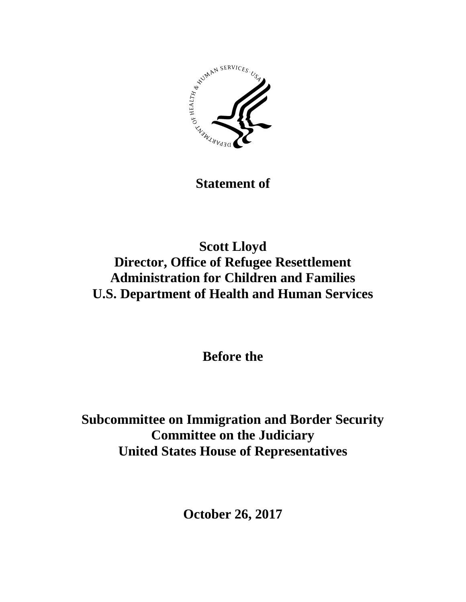

**Statement of**

## **Scott Lloyd Director, Office of Refugee Resettlement Administration for Children and Families U.S. Department of Health and Human Services**

**Before the**

**Subcommittee on Immigration and Border Security Committee on the Judiciary United States House of Representatives**

**October 26, 2017**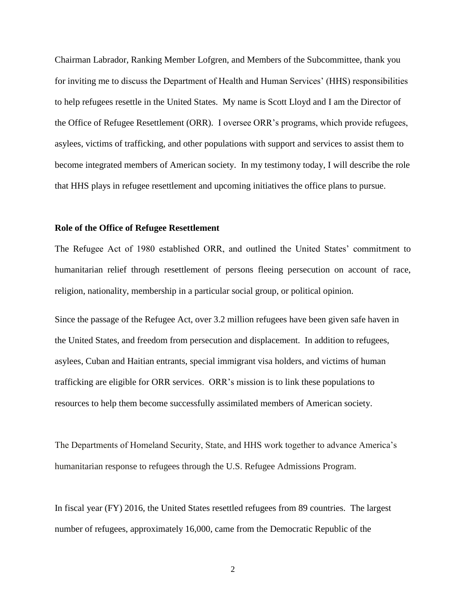Chairman Labrador, Ranking Member Lofgren, and Members of the Subcommittee, thank you for inviting me to discuss the Department of Health and Human Services' (HHS) responsibilities to help refugees resettle in the United States. My name is Scott Lloyd and I am the Director of the Office of Refugee Resettlement (ORR). I oversee ORR's programs, which provide refugees, asylees, victims of trafficking, and other populations with support and services to assist them to become integrated members of American society. In my testimony today, I will describe the role that HHS plays in refugee resettlement and upcoming initiatives the office plans to pursue.

## **Role of the Office of Refugee Resettlement**

The Refugee Act of 1980 established ORR, and outlined the United States' commitment to humanitarian relief through resettlement of persons fleeing persecution on account of race, religion, nationality, membership in a particular social group, or political opinion.

Since the passage of the Refugee Act, over 3.2 million refugees have been given safe haven in the United States, and freedom from persecution and displacement. In addition to refugees, asylees, Cuban and Haitian entrants, special immigrant visa holders, and victims of human trafficking are eligible for ORR services. ORR's mission is to link these populations to resources to help them become successfully assimilated members of American society.

The Departments of Homeland Security, State, and HHS work together to advance America's humanitarian response to refugees through the U.S. Refugee Admissions Program.

In fiscal year (FY) 2016, the United States resettled refugees from 89 countries. The largest number of refugees, approximately 16,000, came from the Democratic Republic of the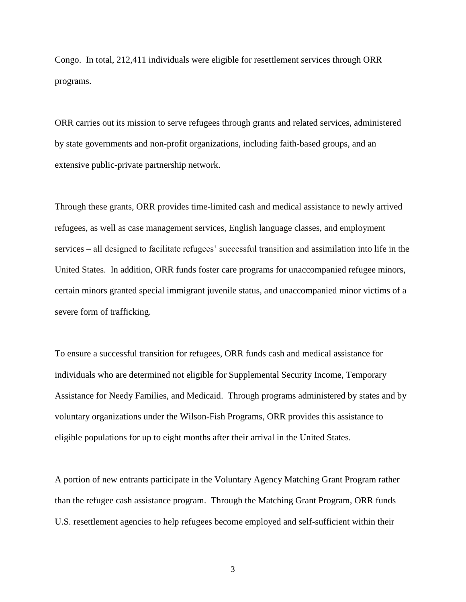Congo. In total, 212,411 individuals were eligible for resettlement services through ORR programs.

ORR carries out its mission to serve refugees through grants and related services, administered by state governments and non-profit organizations, including faith-based groups, and an extensive public-private partnership network.

Through these grants, ORR provides time-limited cash and medical assistance to newly arrived refugees, as well as case management services, English language classes, and employment services – all designed to facilitate refugees' successful transition and assimilation into life in the United States. In addition, ORR funds foster care programs for unaccompanied refugee minors, certain minors granted special immigrant juvenile status, and unaccompanied minor victims of a severe form of trafficking.

To ensure a successful transition for refugees, ORR funds cash and medical assistance for individuals who are determined not eligible for Supplemental Security Income, Temporary Assistance for Needy Families, and Medicaid. Through programs administered by states and by voluntary organizations under the Wilson-Fish Programs, ORR provides this assistance to eligible populations for up to eight months after their arrival in the United States.

A portion of new entrants participate in the Voluntary Agency Matching Grant Program rather than the refugee cash assistance program. Through the Matching Grant Program, ORR funds U.S. resettlement agencies to help refugees become employed and self-sufficient within their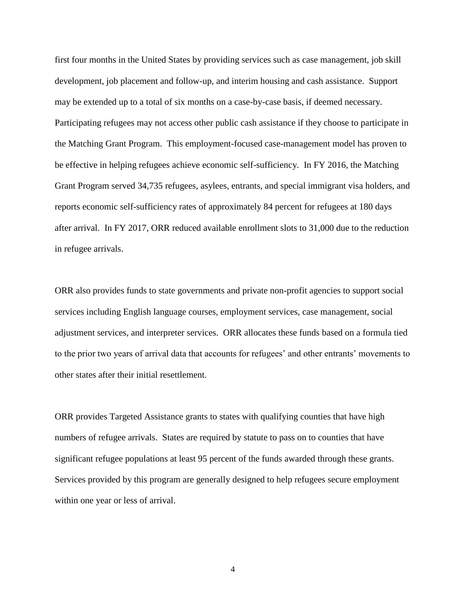first four months in the United States by providing services such as case management, job skill development, job placement and follow-up, and interim housing and cash assistance. Support may be extended up to a total of six months on a case-by-case basis, if deemed necessary. Participating refugees may not access other public cash assistance if they choose to participate in the Matching Grant Program. This employment-focused case-management model has proven to be effective in helping refugees achieve economic self-sufficiency. In FY 2016, the Matching Grant Program served 34,735 refugees, asylees, entrants, and special immigrant visa holders, and reports economic self-sufficiency rates of approximately 84 percent for refugees at 180 days after arrival. In FY 2017, ORR reduced available enrollment slots to 31,000 due to the reduction in refugee arrivals.

ORR also provides funds to state governments and private non-profit agencies to support social services including English language courses, employment services, case management, social adjustment services, and interpreter services. ORR allocates these funds based on a formula tied to the prior two years of arrival data that accounts for refugees' and other entrants' movements to other states after their initial resettlement.

ORR provides Targeted Assistance grants to states with qualifying counties that have high numbers of refugee arrivals. States are required by statute to pass on to counties that have significant refugee populations at least 95 percent of the funds awarded through these grants. Services provided by this program are generally designed to help refugees secure employment within one year or less of arrival.

4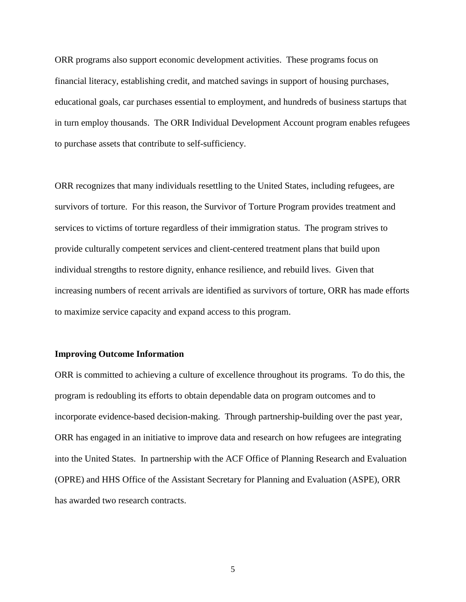ORR programs also support economic development activities. These programs focus on financial literacy, establishing credit, and matched savings in support of housing purchases, educational goals, car purchases essential to employment, and hundreds of business startups that in turn employ thousands. The ORR Individual Development Account program enables refugees to purchase assets that contribute to self-sufficiency.

ORR recognizes that many individuals resettling to the United States, including refugees, are survivors of torture. For this reason, the Survivor of Torture Program provides treatment and services to victims of torture regardless of their immigration status. The program strives to provide culturally competent services and client-centered treatment plans that build upon individual strengths to restore dignity, enhance resilience, and rebuild lives. Given that increasing numbers of recent arrivals are identified as survivors of torture, ORR has made efforts to maximize service capacity and expand access to this program.

## **Improving Outcome Information**

ORR is committed to achieving a culture of excellence throughout its programs. To do this, the program is redoubling its efforts to obtain dependable data on program outcomes and to incorporate evidence-based decision-making. Through partnership-building over the past year, ORR has engaged in an initiative to improve data and research on how refugees are integrating into the United States. In partnership with the ACF Office of Planning Research and Evaluation (OPRE) and HHS Office of the Assistant Secretary for Planning and Evaluation (ASPE), ORR has awarded two research contracts.

5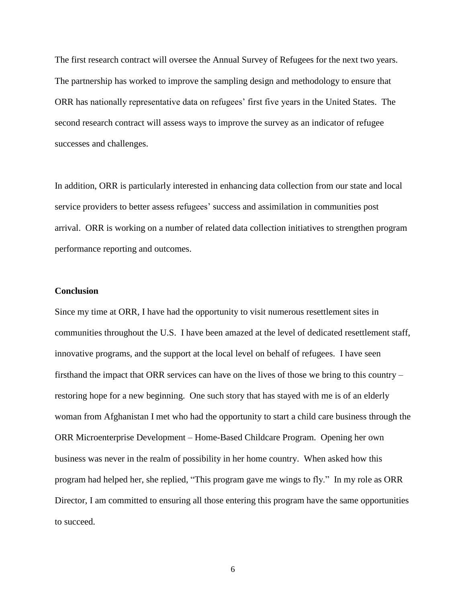The first research contract will oversee the Annual Survey of Refugees for the next two years. The partnership has worked to improve the sampling design and methodology to ensure that ORR has nationally representative data on refugees' first five years in the United States. The second research contract will assess ways to improve the survey as an indicator of refugee successes and challenges.

In addition, ORR is particularly interested in enhancing data collection from our state and local service providers to better assess refugees' success and assimilation in communities post arrival. ORR is working on a number of related data collection initiatives to strengthen program performance reporting and outcomes.

## **Conclusion**

Since my time at ORR, I have had the opportunity to visit numerous resettlement sites in communities throughout the U.S. I have been amazed at the level of dedicated resettlement staff, innovative programs, and the support at the local level on behalf of refugees. I have seen firsthand the impact that ORR services can have on the lives of those we bring to this country – restoring hope for a new beginning. One such story that has stayed with me is of an elderly woman from Afghanistan I met who had the opportunity to start a child care business through the ORR Microenterprise Development – Home-Based Childcare Program. Opening her own business was never in the realm of possibility in her home country. When asked how this program had helped her, she replied, "This program gave me wings to fly." In my role as ORR Director, I am committed to ensuring all those entering this program have the same opportunities to succeed.

6